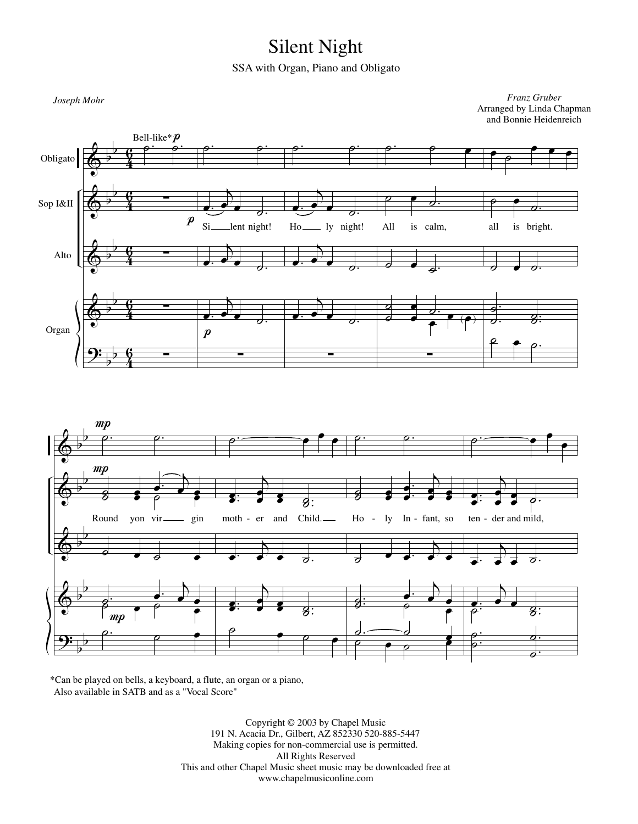## Silent Night

SSA with Organ, Piano and Obligato



Also available in SATB and as a "Vocal Score" \*Can be played on bells, a keyboard, a flute, an organ or a piano,

> Copyright © 2003 by Chapel Music 191 N. Acacia Dr., Gilbert, AZ 852330 520-885-5447 Making copies for non-commercial use is permitted. All Rights Reserved This and other Chapel Music sheet music may be downloaded free at www.chapelmusiconline.com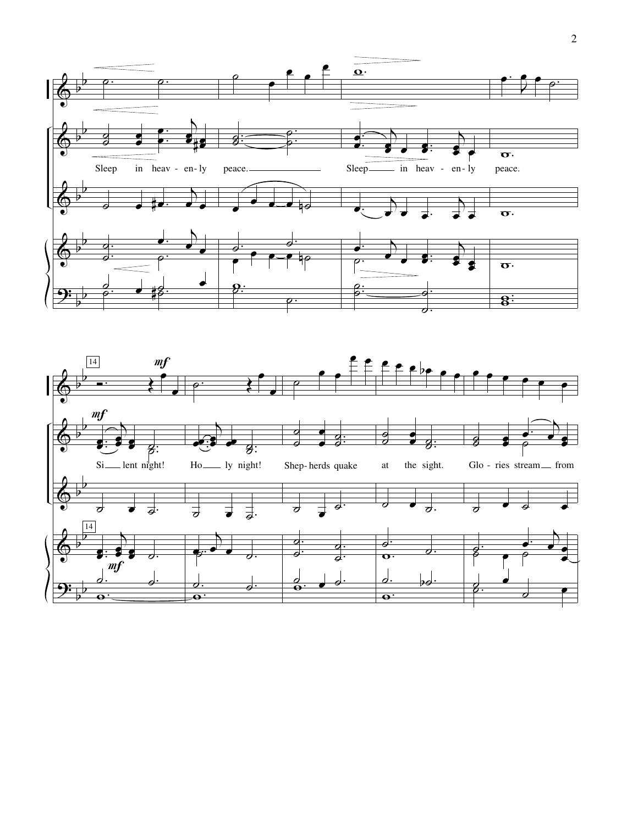

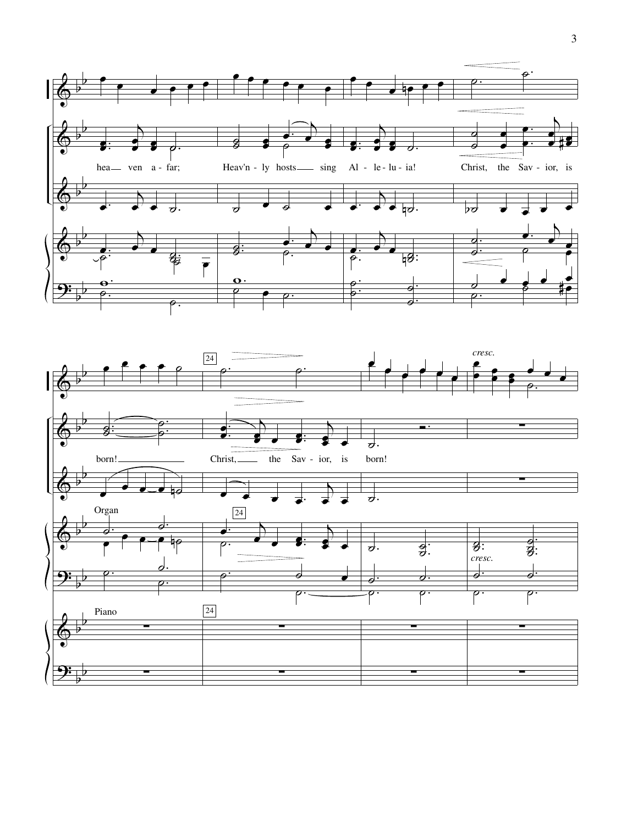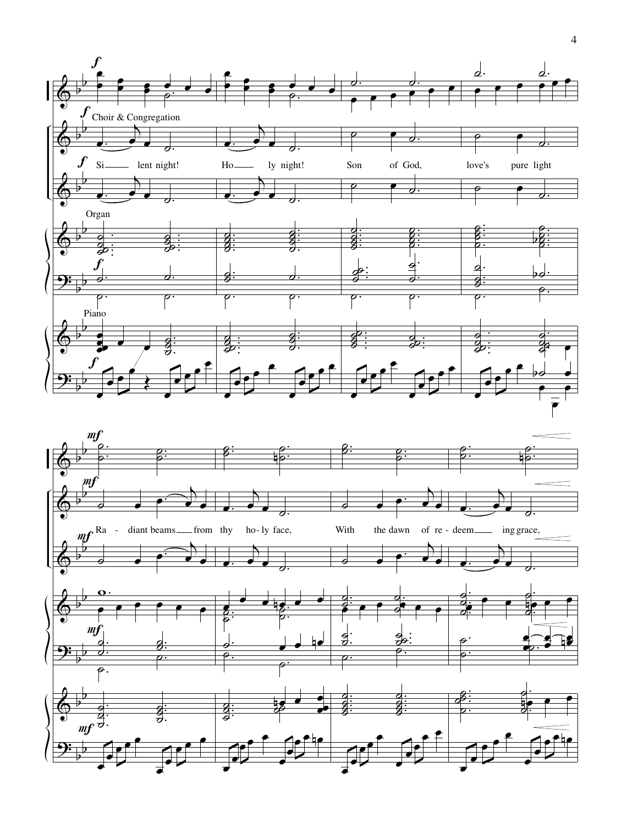